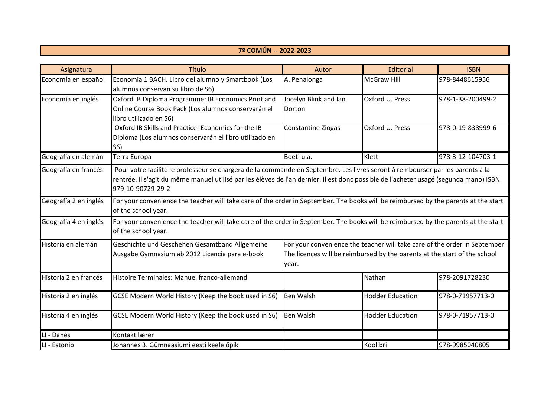| Asignatura            | Título                                                                                                                                                                                                                                                                                       | Autor                                                                                                                               | Editorial               | <b>ISBN</b>       |  |
|-----------------------|----------------------------------------------------------------------------------------------------------------------------------------------------------------------------------------------------------------------------------------------------------------------------------------------|-------------------------------------------------------------------------------------------------------------------------------------|-------------------------|-------------------|--|
| Economía en español   | Economia 1 BACH. Libro del alumno y Smartbook (Los                                                                                                                                                                                                                                           | A. Penalonga                                                                                                                        | <b>McGraw Hill</b>      | 978-8448615956    |  |
|                       | alumnos conservan su libro de S6)                                                                                                                                                                                                                                                            |                                                                                                                                     |                         |                   |  |
| Economía en inglés    | Oxford IB Diploma Programme: IB Economics Print and                                                                                                                                                                                                                                          | Jocelyn Blink and Ian                                                                                                               | Oxford U. Press         | 978-1-38-200499-2 |  |
|                       | Online Course Book Pack (Los alumnos conservarán el                                                                                                                                                                                                                                          | Dorton                                                                                                                              |                         |                   |  |
|                       | libro utilizado en S6)                                                                                                                                                                                                                                                                       |                                                                                                                                     |                         |                   |  |
|                       | Oxford IB Skills and Practice: Economics for the IB                                                                                                                                                                                                                                          | <b>Constantine Ziogas</b>                                                                                                           | Oxford U. Press         | 978-0-19-838999-6 |  |
|                       | Diploma (Los alumnos conservarán el libro utilizado en                                                                                                                                                                                                                                       |                                                                                                                                     |                         |                   |  |
|                       | S6)                                                                                                                                                                                                                                                                                          |                                                                                                                                     |                         |                   |  |
| Geografía en alemán   | Terra Europa                                                                                                                                                                                                                                                                                 | Boeti u.a.                                                                                                                          | Klett                   | 978-3-12-104703-1 |  |
| Geografía en francés  | Pour votre facilité le professeur se chargera de la commande en Septembre. Les livres seront à rembourser par les parents à la<br>rentrée. Il s'agit du même manuel utilisé par les élèves de l'an dernier. Il est donc possible de l'acheter usagé (segunda mano) ISBN<br>979-10-90729-29-2 |                                                                                                                                     |                         |                   |  |
| Geografía 2 en inglés | of the school year.                                                                                                                                                                                                                                                                          | For your convenience the teacher will take care of the order in September. The books will be reimbursed by the parents at the start |                         |                   |  |
| Geografía 4 en inglés | of the school year.                                                                                                                                                                                                                                                                          | For your convenience the teacher will take care of the order in September. The books will be reimbursed by the parents at the start |                         |                   |  |
| Historia en alemán    | Geschichte und Geschehen Gesamtband Allgemeine                                                                                                                                                                                                                                               | For your convenience the teacher will take care of the order in September.                                                          |                         |                   |  |
|                       | Ausgabe Gymnasium ab 2012 Licencia para e-book                                                                                                                                                                                                                                               | The licences will be reimbursed by the parents at the start of the school<br>year.                                                  |                         |                   |  |
| Historia 2 en francés | Histoire Terminales: Manuel franco-allemand                                                                                                                                                                                                                                                  |                                                                                                                                     | Nathan                  | 978-2091728230    |  |
| Historia 2 en inglés  | GCSE Modern World History (Keep the book used in S6)                                                                                                                                                                                                                                         | <b>Ben Walsh</b>                                                                                                                    | <b>Hodder Education</b> | 978-0-71957713-0  |  |
| Historia 4 en inglés  | GCSE Modern World History (Keep the book used in S6)                                                                                                                                                                                                                                         | <b>Ben Walsh</b>                                                                                                                    | <b>Hodder Education</b> | 978-0-71957713-0  |  |
| LI - Danés            | Kontakt lærer                                                                                                                                                                                                                                                                                |                                                                                                                                     |                         |                   |  |
| LI - Estonio          | Johannes 3. Gümnaasiumi eesti keele õpik                                                                                                                                                                                                                                                     |                                                                                                                                     | Koolibri                | 978-9985040805    |  |

**7º COMÚN -- 2022-2023**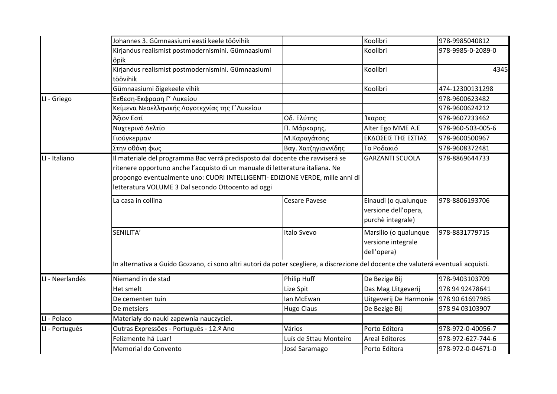|                 | Johannes 3. Gümnaasiumi eesti keele töövihik                                                                                                                                                                         |                        | Koolibri                                                          | 978-9985040812    |
|-----------------|----------------------------------------------------------------------------------------------------------------------------------------------------------------------------------------------------------------------|------------------------|-------------------------------------------------------------------|-------------------|
|                 | Kirjandus realismist postmodernismini. Gümnaasiumi                                                                                                                                                                   |                        | Koolibri                                                          | 978-9985-0-2089-0 |
|                 | õpik                                                                                                                                                                                                                 |                        |                                                                   |                   |
|                 | Kirjandus realismist postmodernismini. Gümnaasiumi                                                                                                                                                                   |                        | Koolibri                                                          | 4345              |
|                 | töövihik                                                                                                                                                                                                             |                        |                                                                   |                   |
|                 | Gümnaasiumi õigekeele vihik                                                                                                                                                                                          |                        | Koolibri                                                          | 474-12300131298   |
| LI - Griego     | Έκθεση-Έκφραση Γ' Λυκείου                                                                                                                                                                                            |                        |                                                                   | 978-9600623482    |
|                 | Κείμενα Νεοελληνικής Λογοτεχνίας της Γ΄Λυκείου                                                                                                                                                                       |                        |                                                                   | 978-9600624212    |
|                 | Άξιον Εστί                                                                                                                                                                                                           | Οδ. Ελύτης             | Ίκαρος                                                            | 978-9607233462    |
|                 | Νυχτερινό Δελτίο                                                                                                                                                                                                     | Π. Μάρκαρης,           | Alter Ego MME A.E                                                 | 978-960-503-005-6 |
|                 | Γιούγκερμαν                                                                                                                                                                                                          | Μ.Καραγάτσης           | ΕΚΔΟΣΕΙΣ ΤΗΣ ΕΣΤΙΑΣ                                               | 978-9600500967    |
|                 | Στην οθόνη φως                                                                                                                                                                                                       | Βαγ. Χατζηγιαννίδης    | Το Ροδακιό                                                        | 978-9608372481    |
|                 | ritenere opportuno anche l'acquisto di un manuale di letteratura italiana. Ne<br>propongo eventualmente uno: CUORI INTELLIGENTI- EDIZIONE VERDE, mille anni di<br>letteratura VOLUME 3 Dal secondo Ottocento ad oggi |                        |                                                                   |                   |
|                 |                                                                                                                                                                                                                      |                        |                                                                   |                   |
|                 | La casa in collina                                                                                                                                                                                                   | <b>Cesare Pavese</b>   | Einaudi (o qualunque<br>versione dell'opera,<br>purchè integrale) | 978-8806193706    |
|                 | SENILITA'                                                                                                                                                                                                            | Italo Svevo            | Marsilio (o qualunque<br>versione integrale<br>dell'opera)        | 978-8831779715    |
|                 | In alternativa a Guido Gozzano, ci sono altri autori da poter scegliere, a discrezione del docente che valuterá eventuali acquisti.                                                                                  |                        |                                                                   |                   |
| LI - Neerlandés | Niemand in de stad                                                                                                                                                                                                   | <b>Philip Huff</b>     | De Bezige Bij                                                     | 978-9403103709    |
|                 | Het smelt                                                                                                                                                                                                            | Lize Spit              | Das Mag Uitgeverij                                                | 978 94 92478641   |
|                 | De cementen tuin                                                                                                                                                                                                     | lan McEwan             | Uitgeverij De Harmonie                                            | 978 90 61697985   |
|                 | De metsiers                                                                                                                                                                                                          | <b>Hugo Claus</b>      | De Bezige Bij                                                     | 978 94 03103907   |
| I - Polaco      | Materiały do nauki zapewnia nauczyciel.                                                                                                                                                                              |                        |                                                                   |                   |
| LI - Portugués  | Outras Expressões - Português - 12.º Ano                                                                                                                                                                             | Vários                 | Porto Editora                                                     | 978-972-0-40056-7 |
|                 | Felizmente há Luar!                                                                                                                                                                                                  | Luís de Sttau Monteiro | Areal Editores                                                    | 978-972-627-744-6 |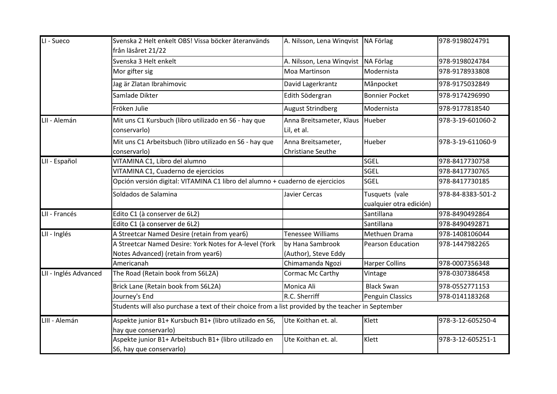| LI - Sueco            | Svenska 2 Helt enkelt OBS! Vissa böcker återanvänds<br>från läsåret 21/22                           | A. Nilsson, Lena Winqvist               | NA Förlag                                 | 978-9198024791    |
|-----------------------|-----------------------------------------------------------------------------------------------------|-----------------------------------------|-------------------------------------------|-------------------|
|                       | Svenska 3 Helt enkelt                                                                               | A. Nilsson, Lena Winqvist               | NA Förlag                                 | 978-9198024784    |
|                       | Mor gifter sig                                                                                      | Moa Martinson                           | Modernista                                | 978-9178933808    |
|                       | Jag är Zlatan Ibrahimovic                                                                           | David Lagerkrantz                       | Månpocket                                 | 978-9175032849    |
|                       | Samlade Dikter                                                                                      | Edith Södergran                         | <b>Bonnier Pocket</b>                     | 978-9174296990    |
|                       | Fröken Julie                                                                                        | <b>August Strindberg</b>                | Modernista                                | 978-9177818540    |
| LII - Alemán          | Mit uns C1 Kursbuch (libro utilizado en S6 - hay que<br>conservarlo)                                | Anna Breitsameter, Klaus<br>Lil, et al. | Hueber                                    | 978-3-19-601060-2 |
|                       | Mit uns C1 Arbeitsbuch (libro utilizado en S6 - hay que<br>conservarlo)                             | Anna Breitsameter,<br>Christiane Seuthe | Hueber                                    | 978-3-19-611060-9 |
| LII - Español         | VITAMINA C1, Libro del alumno                                                                       |                                         | <b>SGEL</b>                               | 978-8417730758    |
|                       | VITAMINA C1, Cuaderno de ejercicios                                                                 |                                         | <b>SGEL</b>                               | 978-8417730765    |
|                       | Opción versión digital: VITAMINA C1 libro del alumno + cuaderno de ejercicios                       |                                         | <b>SGEL</b>                               | 978-8417730185    |
|                       | Soldados de Salamina                                                                                | Javier Cercas                           | Tusquets (vale<br>cualquier otra edición) | 978-84-8383-501-2 |
| LII - Francés         | Edito C1 (à conserver de 6L2)                                                                       |                                         | Santillana                                | 978-8490492864    |
|                       | Edito C1 (à conserver de 6L2)                                                                       |                                         | Santillana                                | 978-8490492871    |
| LII - Inglés          | A Streetcar Named Desire (retain from year6)                                                        | Tenessee Williams                       | Methuen Drama                             | 978-1408106044    |
|                       | A Streetcar Named Desire: York Notes for A-level (York                                              | by Hana Sambrook                        | <b>Pearson Education</b>                  | 978-1447982265    |
|                       | Notes Advanced) (retain from year6)                                                                 | (Author), Steve Eddy                    |                                           |                   |
|                       | Americanah                                                                                          | Chimamanda Ngozi                        | <b>Harper Collins</b>                     | 978-0007356348    |
| LII - Inglés Advanced | The Road (Retain book from S6L2A)                                                                   | Cormac Mc Carthy                        | Vintage                                   | 978-0307386458    |
|                       | Brick Lane (Retain book from S6L2A)                                                                 | Monica Ali                              | <b>Black Swan</b>                         | 978-0552771153    |
|                       | Journey's End                                                                                       | R.C. Sherriff                           | <b>Penguin Classics</b>                   | 978-0141183268    |
|                       | Students will also purchase a text of their choice from a list provided by the teacher in September |                                         |                                           |                   |
| LIII - Alemán         | Aspekte junior B1+ Kursbuch B1+ (libro utilizado en S6,<br>hay que conservarlo)                     | Ute Koithan et. al.                     | Klett                                     | 978-3-12-605250-4 |
|                       | Aspekte junior B1+ Arbeitsbuch B1+ (libro utilizado en<br>S6, hay que conservarlo)                  | Ute Koithan et. al.                     | Klett                                     | 978-3-12-605251-1 |